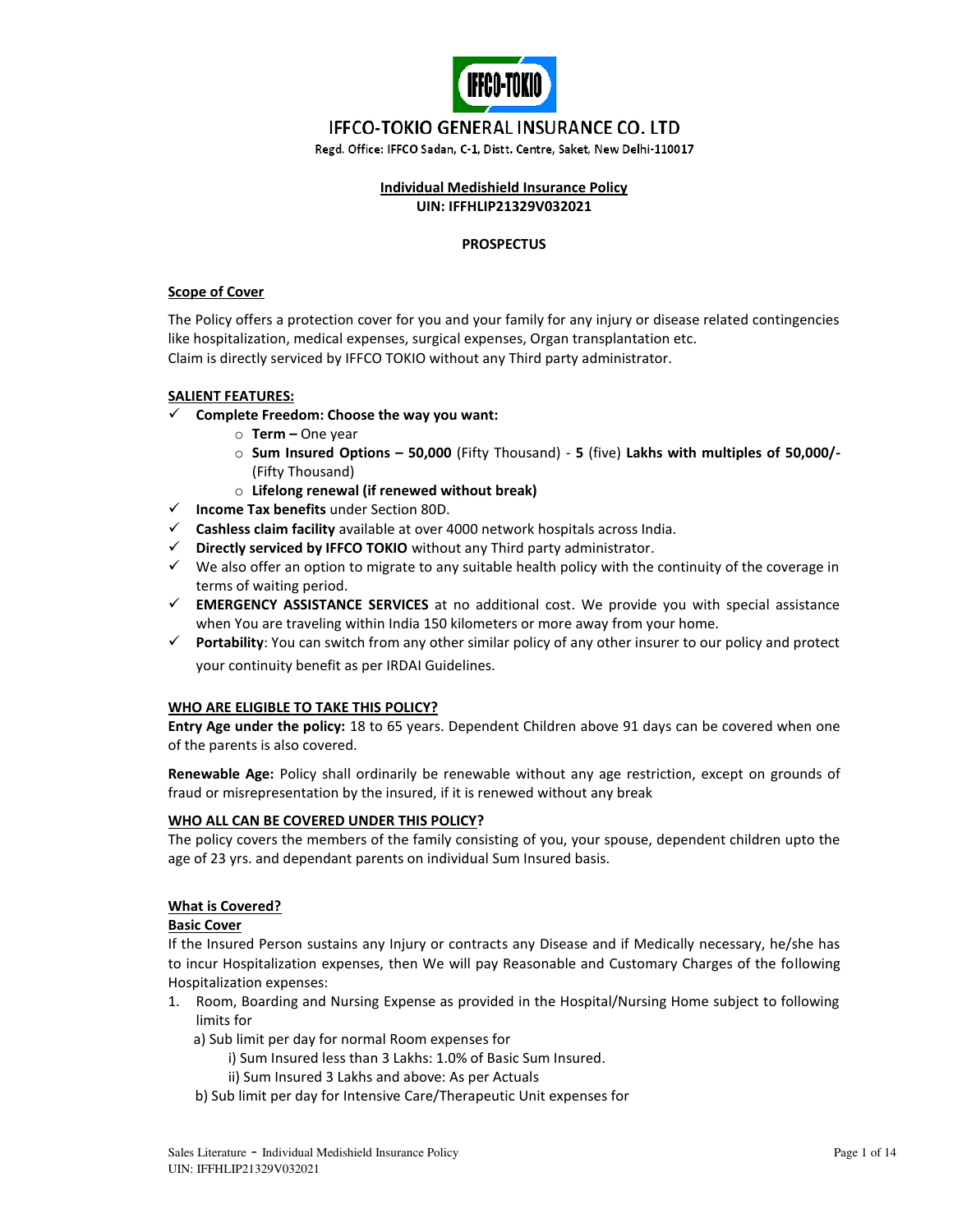

# **IFFCO-TOKIO GENERAL INSURANCE CO. LTD**

Regd. Office: IFFCO Sadan, C-1, Distt. Centre, Saket, New Delhi-110017

### **Individual Medishield Insurance Policy UIN: IFFHLIP21329V032021**

### **PROSPECTUS**

### **Scope of Cover**

The Policy offers a protection cover for you and your family for any injury or disease related contingencies like hospitalization, medical expenses, surgical expenses, Organ transplantation etc. Claim is directly serviced by IFFCO TOKIO without any Third party administrator.

### **SALIENT FEATURES:**

- **Complete Freedom: Choose the way you want:** 
	- o **Term –** One year
	- o **Sum Insured Options – 50,000** (Fifty Thousand) **5** (five) **Lakhs with multiples of 50,000/-** (Fifty Thousand)
	- o **Lifelong renewal (if renewed without break)**
- **Income Tax benefits** under Section 80D.
- **Cashless claim facility** available at over 4000 network hospitals across India.
- **Directly serviced by IFFCO TOKIO** without any Third party administrator.
- $\checkmark$  We also offer an option to migrate to any suitable health policy with the continuity of the coverage in terms of waiting period.
- **EMERGENCY ASSISTANCE SERVICES** at no additional cost. We provide you with special assistance when You are traveling within India 150 kilometers or more away from your home.
- **Portability**: You can switch from any other similar policy of any other insurer to our policy and protect your continuity benefit as per IRDAI Guidelines.

### **WHO ARE ELIGIBLE TO TAKE THIS POLICY?**

**Entry Age under the policy:** 18 to 65 years. Dependent Children above 91 days can be covered when one of the parents is also covered.

**Renewable Age:** Policy shall ordinarily be renewable without any age restriction, except on grounds of fraud or misrepresentation by the insured, if it is renewed without any break

### **WHO ALL CAN BE COVERED UNDER THIS POLICY?**

The policy covers the members of the family consisting of you, your spouse, dependent children upto the age of 23 yrs. and dependant parents on individual Sum Insured basis.

### **What is Covered?**

### **Basic Cover**

If the Insured Person sustains any Injury or contracts any Disease and if Medically necessary, he/she has to incur Hospitalization expenses, then We will pay Reasonable and Customary Charges of the following Hospitalization expenses:

- 1. Room, Boarding and Nursing Expense as provided in the Hospital/Nursing Home subject to following limits for
	- a) Sub limit per day for normal Room expenses for
		- i) Sum Insured less than 3 Lakhs: 1.0% of Basic Sum Insured.
		- ii) Sum Insured 3 Lakhs and above: As per Actuals
	- b) Sub limit per day for Intensive Care/Therapeutic Unit expenses for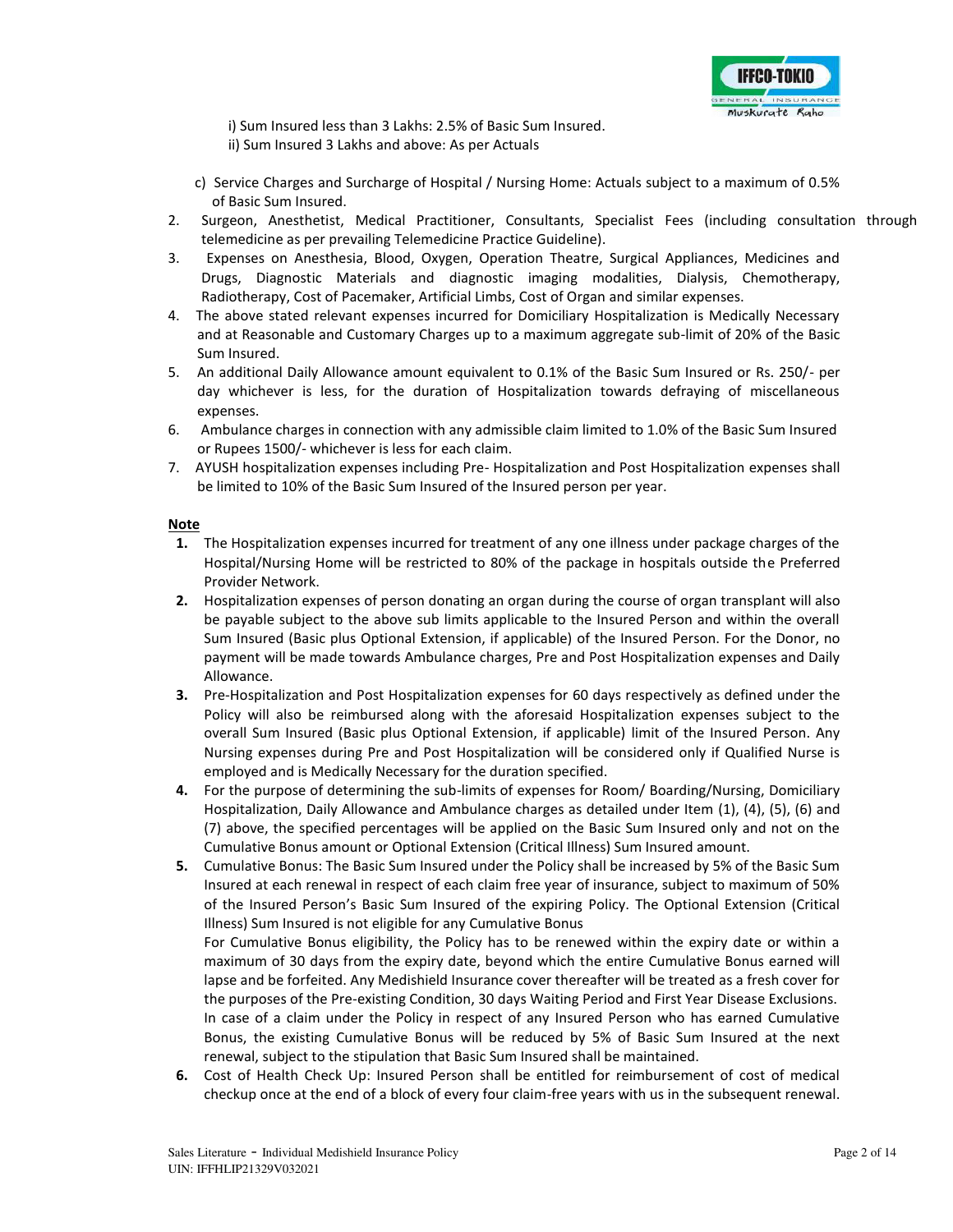

i) Sum Insured less than 3 Lakhs: 2.5% of Basic Sum Insured. ii) Sum Insured 3 Lakhs and above: As per Actuals

- c) Service Charges and Surcharge of Hospital / Nursing Home: Actuals subject to a maximum of 0.5% of Basic Sum Insured.
- 2. Surgeon, Anesthetist, Medical Practitioner, Consultants, Specialist Fees (including consultation through telemedicine as per prevailing Telemedicine Practice Guideline).
- 3. Expenses on Anesthesia, Blood, Oxygen, Operation Theatre, Surgical Appliances, Medicines and Drugs, Diagnostic Materials and diagnostic imaging modalities, Dialysis, Chemotherapy, Radiotherapy, Cost of Pacemaker, Artificial Limbs, Cost of Organ and similar expenses.
- 4. The above stated relevant expenses incurred for Domiciliary Hospitalization is Medically Necessary and at Reasonable and Customary Charges up to a maximum aggregate sub-limit of 20% of the Basic Sum Insured.
- 5. An additional Daily Allowance amount equivalent to 0.1% of the Basic Sum Insured or Rs. 250/- per day whichever is less, for the duration of Hospitalization towards defraying of miscellaneous expenses.
- 6. Ambulance charges in connection with any admissible claim limited to 1.0% of the Basic Sum Insured or Rupees 1500/- whichever is less for each claim.
- 7. AYUSH hospitalization expenses including Pre- Hospitalization and Post Hospitalization expenses shall be limited to 10% of the Basic Sum Insured of the Insured person per year.

### **Note**

- **1.** The Hospitalization expenses incurred for treatment of any one illness under package charges of the Hospital/Nursing Home will be restricted to 80% of the package in hospitals outside the Preferred Provider Network.
- **2.** Hospitalization expenses of person donating an organ during the course of organ transplant will also be payable subject to the above sub limits applicable to the Insured Person and within the overall Sum Insured (Basic plus Optional Extension, if applicable) of the Insured Person. For the Donor, no payment will be made towards Ambulance charges, Pre and Post Hospitalization expenses and Daily Allowance.
- **3.** Pre-Hospitalization and Post Hospitalization expenses for 60 days respectively as defined under the Policy will also be reimbursed along with the aforesaid Hospitalization expenses subject to the overall Sum Insured (Basic plus Optional Extension, if applicable) limit of the Insured Person. Any Nursing expenses during Pre and Post Hospitalization will be considered only if Qualified Nurse is employed and is Medically Necessary for the duration specified.
- **4.** For the purpose of determining the sub-limits of expenses for Room/ Boarding/Nursing, Domiciliary Hospitalization, Daily Allowance and Ambulance charges as detailed under Item (1), (4), (5), (6) and (7) above, the specified percentages will be applied on the Basic Sum Insured only and not on the Cumulative Bonus amount or Optional Extension (Critical Illness) Sum Insured amount.
- **5.** Cumulative Bonus: The Basic Sum Insured under the Policy shall be increased by 5% of the Basic Sum Insured at each renewal in respect of each claim free year of insurance, subject to maximum of 50% of the Insured Person's Basic Sum Insured of the expiring Policy. The Optional Extension (Critical Illness) Sum Insured is not eligible for any Cumulative Bonus

For Cumulative Bonus eligibility, the Policy has to be renewed within the expiry date or within a maximum of 30 days from the expiry date, beyond which the entire Cumulative Bonus earned will lapse and be forfeited. Any Medishield Insurance cover thereafter will be treated as a fresh cover for the purposes of the Pre-existing Condition, 30 days Waiting Period and First Year Disease Exclusions. In case of a claim under the Policy in respect of any Insured Person who has earned Cumulative Bonus, the existing Cumulative Bonus will be reduced by 5% of Basic Sum Insured at the next renewal, subject to the stipulation that Basic Sum Insured shall be maintained.

**6.** Cost of Health Check Up: Insured Person shall be entitled for reimbursement of cost of medical checkup once at the end of a block of every four claim-free years with us in the subsequent renewal.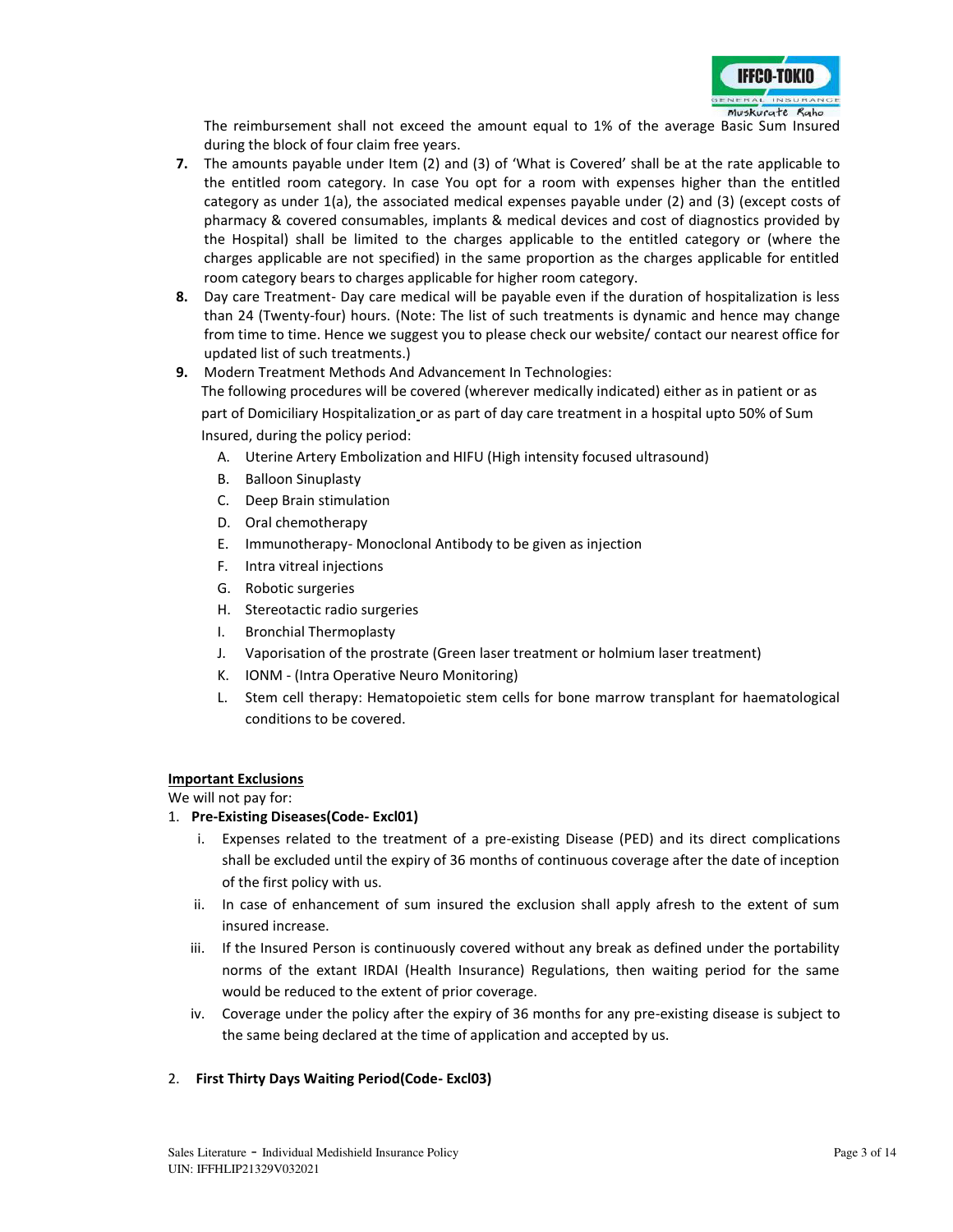

The reimbursement shall not exceed the amount equal to 1% of the average Basic Sum Insured during the block of four claim free years.

- **7.** The amounts payable under Item (2) and (3) of 'What is Covered' shall be at the rate applicable to the entitled room category. In case You opt for a room with expenses higher than the entitled category as under 1(a), the associated medical expenses payable under (2) and (3) (except costs of pharmacy & covered consumables, implants & medical devices and cost of diagnostics provided by the Hospital) shall be limited to the charges applicable to the entitled category or (where the charges applicable are not specified) in the same proportion as the charges applicable for entitled room category bears to charges applicable for higher room category.
- **8.** Day care Treatment- Day care medical will be payable even if the duration of hospitalization is less than 24 (Twenty-four) hours. (Note: The list of such treatments is dynamic and hence may change from time to time. Hence we suggest you to please check our website/ contact our nearest office for updated list of such treatments.)
- **9.** Modern Treatment Methods And Advancement In Technologies:

The following procedures will be covered (wherever medically indicated) either as in patient or as part of Domiciliary Hospitalization or as part of day care treatment in a hospital upto 50% of Sum Insured, during the policy period:

- A. Uterine Artery Embolization and HIFU (High intensity focused ultrasound)
- B. Balloon Sinuplasty
- C. Deep Brain stimulation
- D. Oral chemotherapy
- E. Immunotherapy- Monoclonal Antibody to be given as injection
- F. Intra vitreal injections
- G. Robotic surgeries
- H. Stereotactic radio surgeries
- I. Bronchial Thermoplasty
- J. Vaporisation of the prostrate (Green laser treatment or holmium laser treatment)
- K. IONM (Intra Operative Neuro Monitoring)
- L. Stem cell therapy: Hematopoietic stem cells for bone marrow transplant for haematological conditions to be covered.

### **Important Exclusions**

We will not pay for:

### 1. **Pre-Existing Diseases(Code- Excl01)**

- i. Expenses related to the treatment of a pre-existing Disease (PED) and its direct complications shall be excluded until the expiry of 36 months of continuous coverage after the date of inception of the first policy with us.
- ii. In case of enhancement of sum insured the exclusion shall apply afresh to the extent of sum insured increase.
- iii. If the Insured Person is continuously covered without any break as defined under the portability norms of the extant IRDAI (Health Insurance) Regulations, then waiting period for the same would be reduced to the extent of prior coverage.
- iv. Coverage under the policy after the expiry of 36 months for any pre-existing disease is subject to the same being declared at the time of application and accepted by us.

### 2. **First Thirty Days Waiting Period(Code- Excl03)**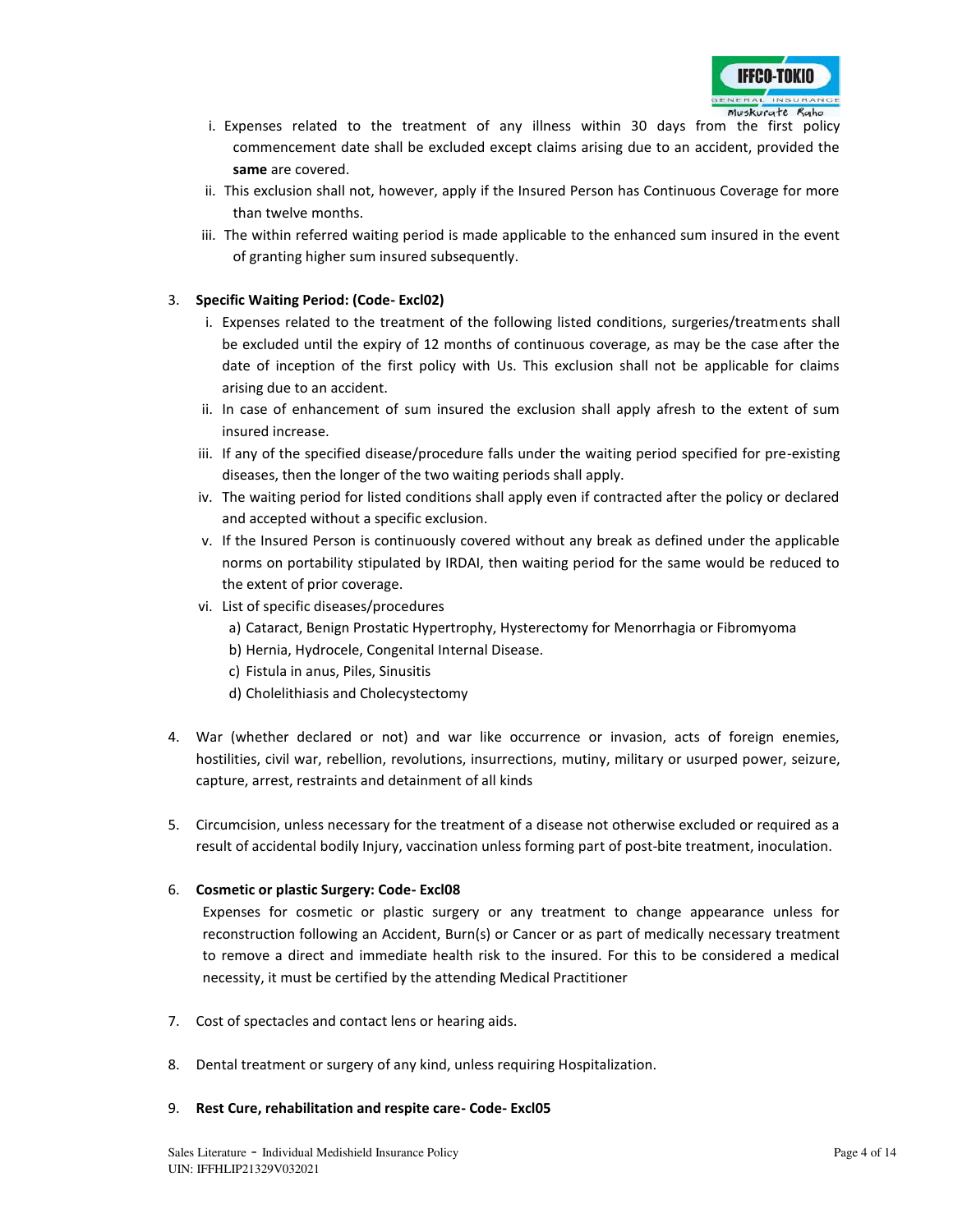

- i. Expenses related to the treatment of any illness within 30 days from the first policy commencement date shall be excluded except claims arising due to an accident, provided the **same** are covered.
- ii. This exclusion shall not, however, apply if the Insured Person has Continuous Coverage for more than twelve months.
- iii. The within referred waiting period is made applicable to the enhanced sum insured in the event of granting higher sum insured subsequently.

### 3. **Specific Waiting Period: (Code- Excl02)**

- i. Expenses related to the treatment of the following listed conditions, surgeries/treatments shall be excluded until the expiry of 12 months of continuous coverage, as may be the case after the date of inception of the first policy with Us. This exclusion shall not be applicable for claims arising due to an accident.
- ii. In case of enhancement of sum insured the exclusion shall apply afresh to the extent of sum insured increase.
- iii. If any of the specified disease/procedure falls under the waiting period specified for pre-existing diseases, then the longer of the two waiting periods shall apply.
- iv. The waiting period for listed conditions shall apply even if contracted after the policy or declared and accepted without a specific exclusion.
- v. If the Insured Person is continuously covered without any break as defined under the applicable norms on portability stipulated by IRDAI, then waiting period for the same would be reduced to the extent of prior coverage.
- vi. List of specific diseases/procedures
	- a) Cataract, Benign Prostatic Hypertrophy, Hysterectomy for Menorrhagia or Fibromyoma
	- b) Hernia, Hydrocele, Congenital Internal Disease.
	- c) Fistula in anus, Piles, Sinusitis
	- d) Cholelithiasis and Cholecystectomy
- 4. War (whether declared or not) and war like occurrence or invasion, acts of foreign enemies, hostilities, civil war, rebellion, revolutions, insurrections, mutiny, military or usurped power, seizure, capture, arrest, restraints and detainment of all kinds
- 5. Circumcision, unless necessary for the treatment of a disease not otherwise excluded or required as a result of accidental bodily Injury, vaccination unless forming part of post-bite treatment, inoculation.

### 6. **Cosmetic or plastic Surgery: Code- Excl08**

Expenses for cosmetic or plastic surgery or any treatment to change appearance unless for reconstruction following an Accident, Burn(s) or Cancer or as part of medically necessary treatment to remove a direct and immediate health risk to the insured. For this to be considered a medical necessity, it must be certified by the attending Medical Practitioner

- 7. Cost of spectacles and contact lens or hearing aids.
- 8. Dental treatment or surgery of any kind, unless requiring Hospitalization.

### 9. **Rest Cure, rehabilitation and respite care- Code- Excl05**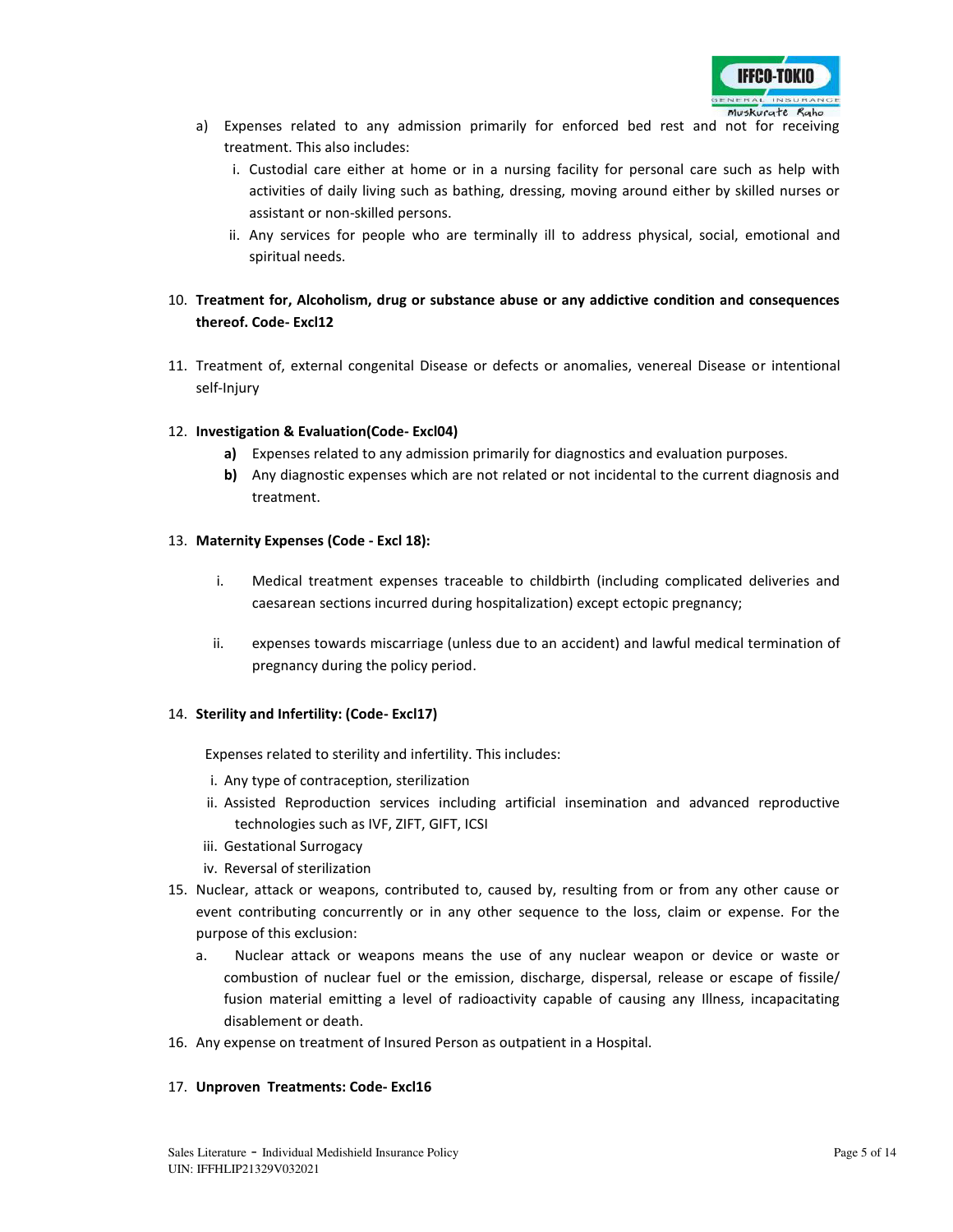

- a) Expenses related to any admission primarily for enforced bed rest and not for receiving treatment. This also includes:
	- i. Custodial care either at home or in a nursing facility for personal care such as help with activities of daily living such as bathing, dressing, moving around either by skilled nurses or assistant or non-skilled persons.
	- ii. Any services for people who are terminally ill to address physical, social, emotional and spiritual needs.

# 10. **Treatment for, Alcoholism, drug or substance abuse or any addictive condition and consequences thereof. Code- Excl12**

11. Treatment of, external congenital Disease or defects or anomalies, venereal Disease or intentional self-Injury

### 12. **Investigation & Evaluation(Code- Excl04)**

- **a)** Expenses related to any admission primarily for diagnostics and evaluation purposes.
- **b)** Any diagnostic expenses which are not related or not incidental to the current diagnosis and treatment.

### 13. **Maternity Expenses (Code - Excl 18):**

- i. Medical treatment expenses traceable to childbirth (including complicated deliveries and caesarean sections incurred during hospitalization) except ectopic pregnancy;
- ii. expenses towards miscarriage (unless due to an accident) and lawful medical termination of pregnancy during the policy period.

### 14. **Sterility and Infertility: (Code- Excl17)**

Expenses related to sterility and infertility. This includes:

- i. Any type of contraception, sterilization
- ii. Assisted Reproduction services including artificial insemination and advanced reproductive technologies such as IVF, ZIFT, GIFT, ICSI
- iii. Gestational Surrogacy
- iv. Reversal of sterilization
- 15. Nuclear, attack or weapons, contributed to, caused by, resulting from or from any other cause or event contributing concurrently or in any other sequence to the loss, claim or expense. For the purpose of this exclusion:
	- a. Nuclear attack or weapons means the use of any nuclear weapon or device or waste or combustion of nuclear fuel or the emission, discharge, dispersal, release or escape of fissile/ fusion material emitting a level of radioactivity capable of causing any Illness, incapacitating disablement or death.
- 16. Any expense on treatment of Insured Person as outpatient in a Hospital.

### 17. **Unproven Treatments: Code- Excl16**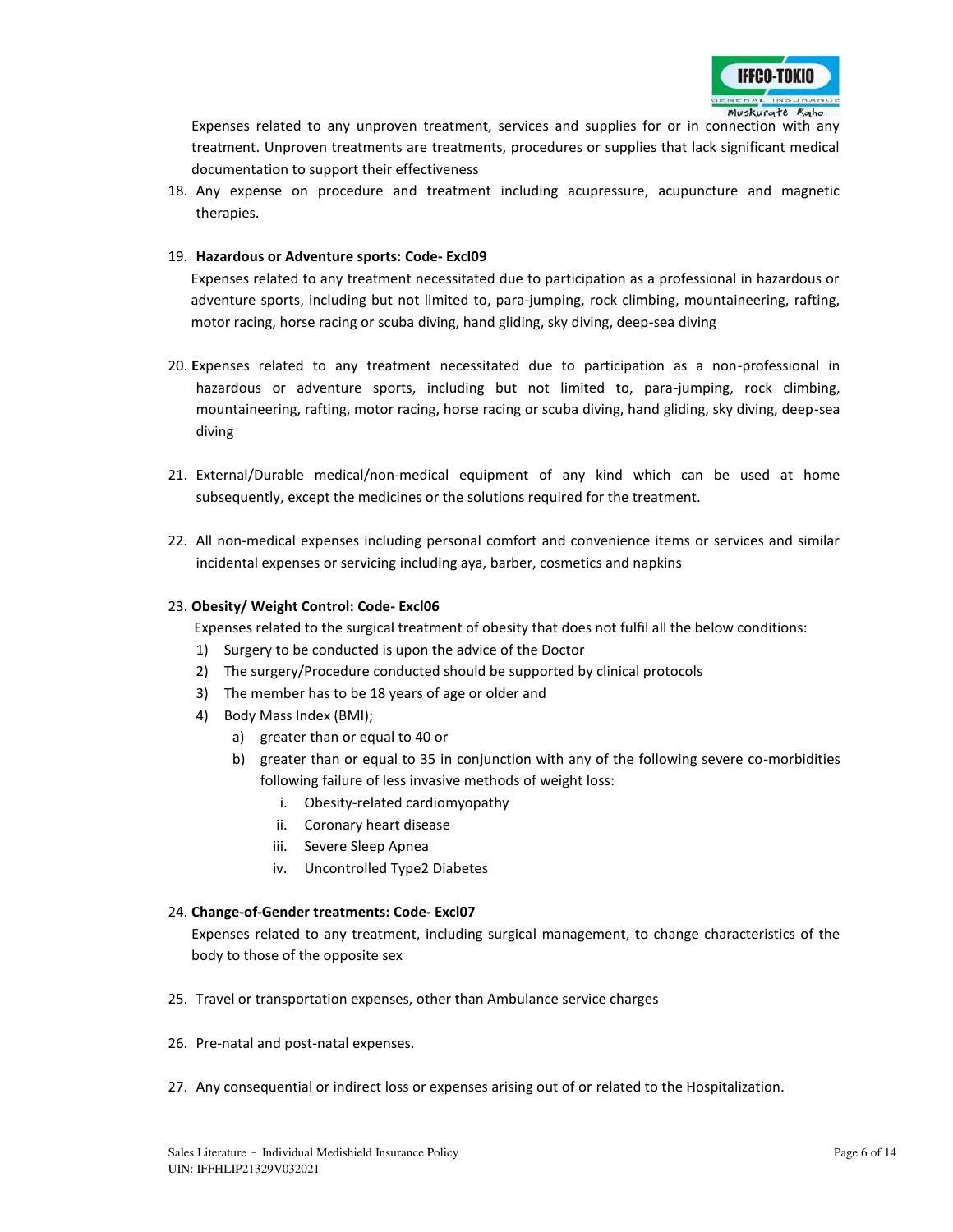

Expenses related to any unproven treatment, services and supplies for or in connection with any treatment. Unproven treatments are treatments, procedures or supplies that lack significant medical documentation to support their effectiveness

18. Any expense on procedure and treatment including acupressure, acupuncture and magnetic therapies.

### 19. **Hazardous or Adventure sports: Code- Excl09**

Expenses related to any treatment necessitated due to participation as a professional in hazardous or adventure sports, including but not limited to, para-jumping, rock climbing, mountaineering, rafting, motor racing, horse racing or scuba diving, hand gliding, sky diving, deep-sea diving

- 20. **E**xpenses related to any treatment necessitated due to participation as a non-professional in hazardous or adventure sports, including but not limited to, para-jumping, rock climbing, mountaineering, rafting, motor racing, horse racing or scuba diving, hand gliding, sky diving, deep-sea diving
- 21. External/Durable medical/non-medical equipment of any kind which can be used at home subsequently, except the medicines or the solutions required for the treatment.
- 22. All non-medical expenses including personal comfort and convenience items or services and similar incidental expenses or servicing including aya, barber, cosmetics and napkins

### 23. **Obesity/ Weight Control: Code- Excl06**

Expenses related to the surgical treatment of obesity that does not fulfil all the below conditions:

- 1) Surgery to be conducted is upon the advice of the Doctor
- 2) The surgery/Procedure conducted should be supported by clinical protocols
- 3) The member has to be 18 years of age or older and
- 4) Body Mass Index (BMI);
	- a) greater than or equal to 40 or
	- b) greater than or equal to 35 in conjunction with any of the following severe co-morbidities following failure of less invasive methods of weight loss:
		- i. Obesity-related cardiomyopathy
		- ii. Coronary heart disease
		- iii. Severe Sleep Apnea
		- iv. Uncontrolled Type2 Diabetes

### 24. **Change-of-Gender treatments: Code- Excl07**

Expenses related to any treatment, including surgical management, to change characteristics of the body to those of the opposite sex

- 25. Travel or transportation expenses, other than Ambulance service charges
- 26. Pre-natal and post-natal expenses.
- 27. Any consequential or indirect loss or expenses arising out of or related to the Hospitalization.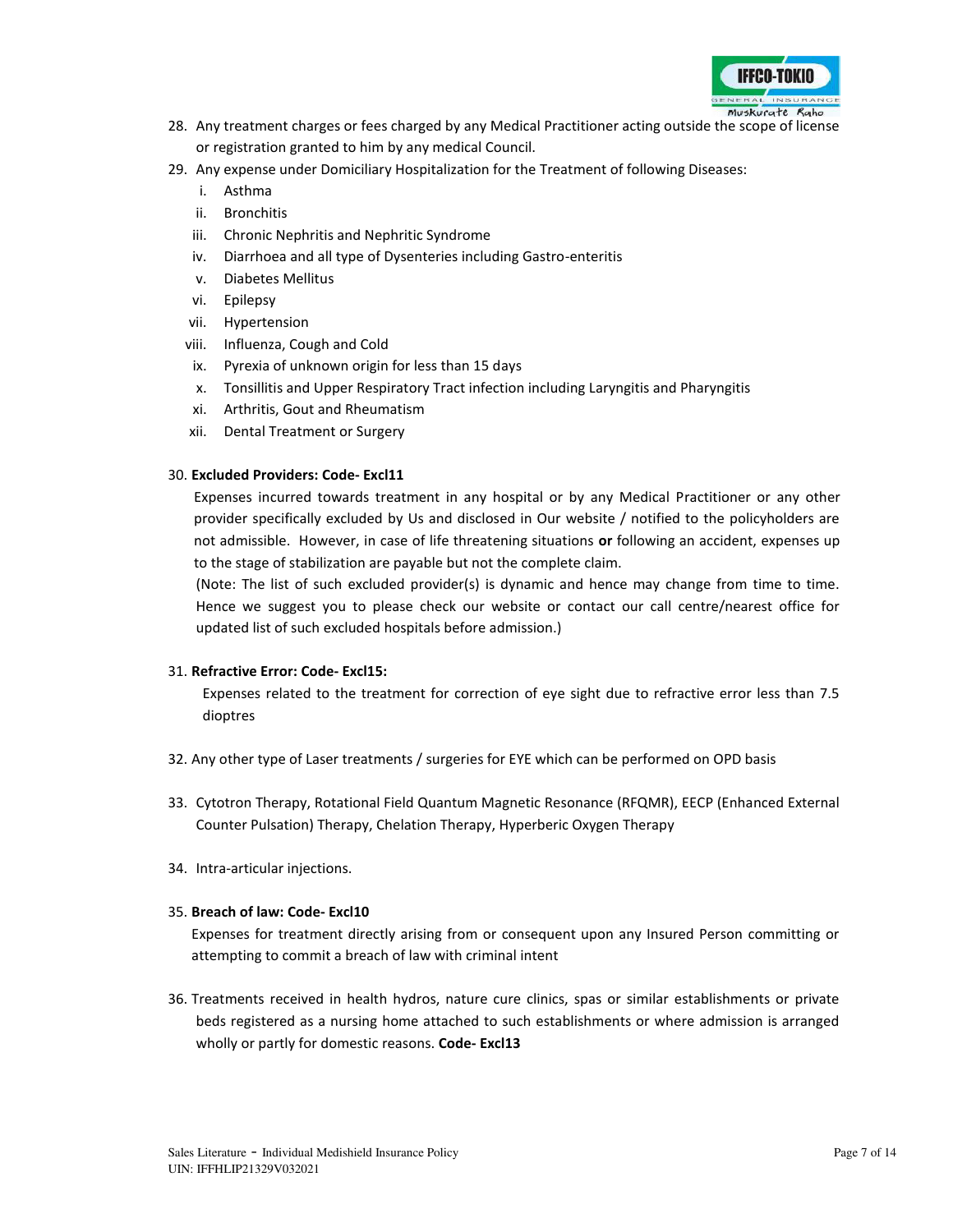

- 28. Any treatment charges or fees charged by any Medical Practitioner acting outside the scope of license or registration granted to him by any medical Council.
- 29. Any expense under Domiciliary Hospitalization for the Treatment of following Diseases:
	- i. Asthma
	- ii. Bronchitis
	- iii. Chronic Nephritis and Nephritic Syndrome
	- iv. Diarrhoea and all type of Dysenteries including Gastro-enteritis
	- v. Diabetes Mellitus
	- vi. Epilepsy
	- vii. Hypertension
	- viii. Influenza, Cough and Cold
	- ix. Pyrexia of unknown origin for less than 15 days
	- x. Tonsillitis and Upper Respiratory Tract infection including Laryngitis and Pharyngitis
	- xi. Arthritis, Gout and Rheumatism
	- xii. Dental Treatment or Surgery

### 30. **Excluded Providers: Code- Excl11**

Expenses incurred towards treatment in any hospital or by any Medical Practitioner or any other provider specifically excluded by Us and disclosed in Our website / notified to the policyholders are not admissible. However, in case of life threatening situations **or** following an accident, expenses up to the stage of stabilization are payable but not the complete claim.

(Note: The list of such excluded provider(s) is dynamic and hence may change from time to time. Hence we suggest you to please check our website or contact our call centre/nearest office for updated list of such excluded hospitals before admission.)

### 31. **Refractive Error: Code- Excl15:**

Expenses related to the treatment for correction of eye sight due to refractive error less than 7.5 dioptres

- 32. Any other type of Laser treatments / surgeries for EYE which can be performed on OPD basis
- 33. Cytotron Therapy, Rotational Field Quantum Magnetic Resonance (RFQMR), EECP (Enhanced External Counter Pulsation) Therapy, Chelation Therapy, Hyperberic Oxygen Therapy
- 34. Intra-articular injections.

### 35. **Breach of law: Code- Excl10**

Expenses for treatment directly arising from or consequent upon any Insured Person committing or attempting to commit a breach of law with criminal intent

36. Treatments received in health hydros, nature cure clinics, spas or similar establishments or private beds registered as a nursing home attached to such establishments or where admission is arranged wholly or partly for domestic reasons. **Code- Excl13**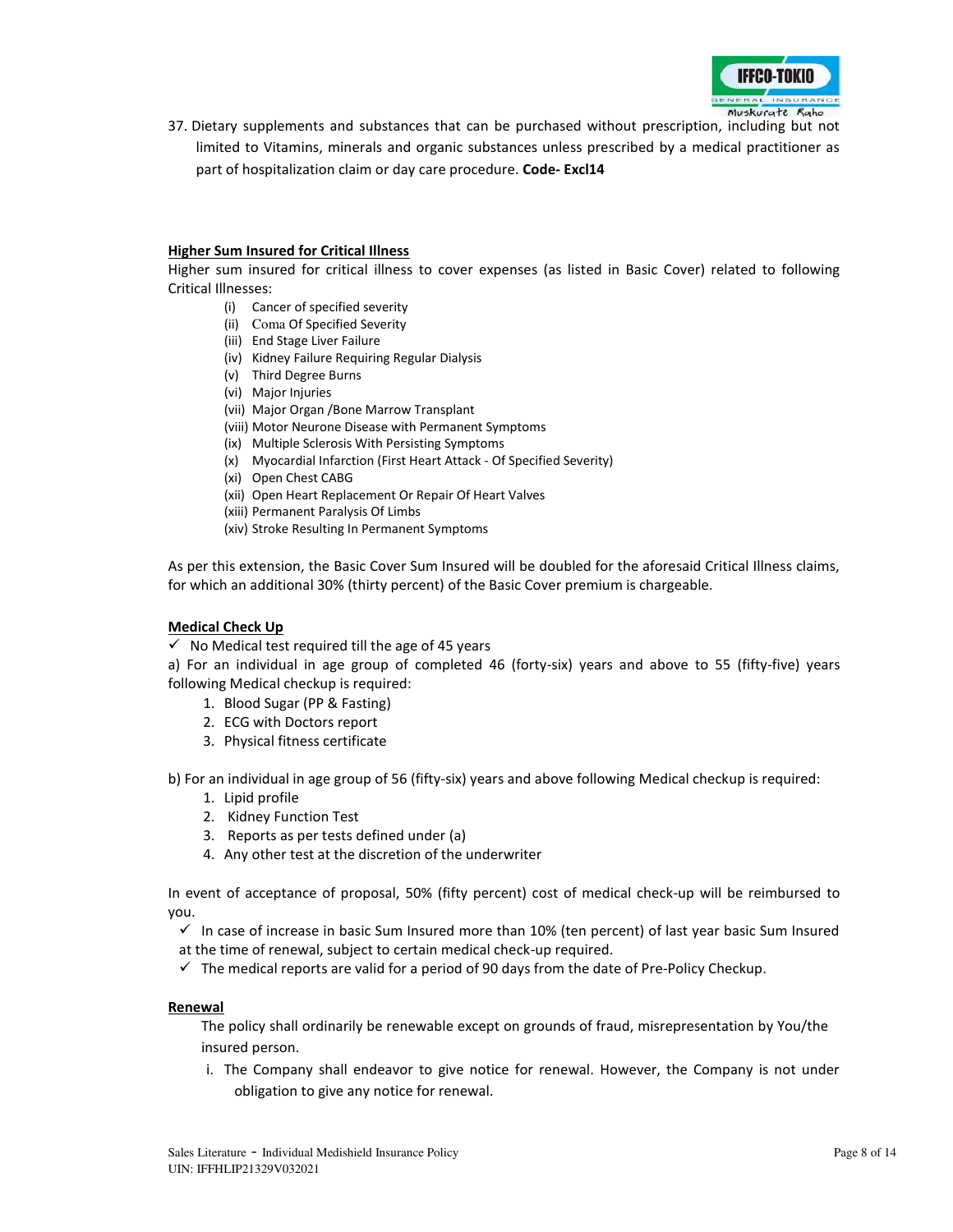

37. Dietary supplements and substances that can be purchased without prescription, including but not limited to Vitamins, minerals and organic substances unless prescribed by a medical practitioner as part of hospitalization claim or day care procedure. **Code- Excl14**

### **Higher Sum Insured for Critical Illness**

Higher sum insured for critical illness to cover expenses (as listed in Basic Cover) related to following Critical Illnesses:

- (i) Cancer of specified severity
- (ii) Coma Of Specified Severity
- (iii) End Stage Liver Failure
- (iv) Kidney Failure Requiring Regular Dialysis
- (v) Third Degree Burns
- (vi) Major Injuries
- (vii) Major Organ /Bone Marrow Transplant
- (viii) Motor Neurone Disease with Permanent Symptoms
- (ix) Multiple Sclerosis With Persisting Symptoms
- (x) Myocardial Infarction (First Heart Attack Of Specified Severity)
- (xi) Open Chest CABG
- (xii) Open Heart Replacement Or Repair Of Heart Valves
- (xiii) Permanent Paralysis Of Limbs
- (xiv) Stroke Resulting In Permanent Symptoms

As per this extension, the Basic Cover Sum Insured will be doubled for the aforesaid Critical Illness claims, for which an additional 30% (thirty percent) of the Basic Cover premium is chargeable.

### **Medical Check Up**

 $\checkmark$  No Medical test required till the age of 45 years

a) For an individual in age group of completed 46 (forty-six) years and above to 55 (fifty-five) years following Medical checkup is required:

- 1. Blood Sugar (PP & Fasting)
- 2. ECG with Doctors report
- 3. Physical fitness certificate

b) For an individual in age group of 56 (fifty-six) years and above following Medical checkup is required:

- 1. Lipid profile
- 2. Kidney Function Test
- 3. Reports as per tests defined under (a)
- 4. Any other test at the discretion of the underwriter

In event of acceptance of proposal, 50% (fifty percent) cost of medical check-up will be reimbursed to you.

 $\checkmark$  In case of increase in basic Sum Insured more than 10% (ten percent) of last year basic Sum Insured at the time of renewal, subject to certain medical check-up required.

 $\checkmark$  The medical reports are valid for a period of 90 days from the date of Pre-Policy Checkup.

### **Renewal**

The policy shall ordinarily be renewable except on grounds of fraud, misrepresentation by You/the insured person.

i. The Company shall endeavor to give notice for renewal. However, the Company is not under obligation to give any notice for renewal.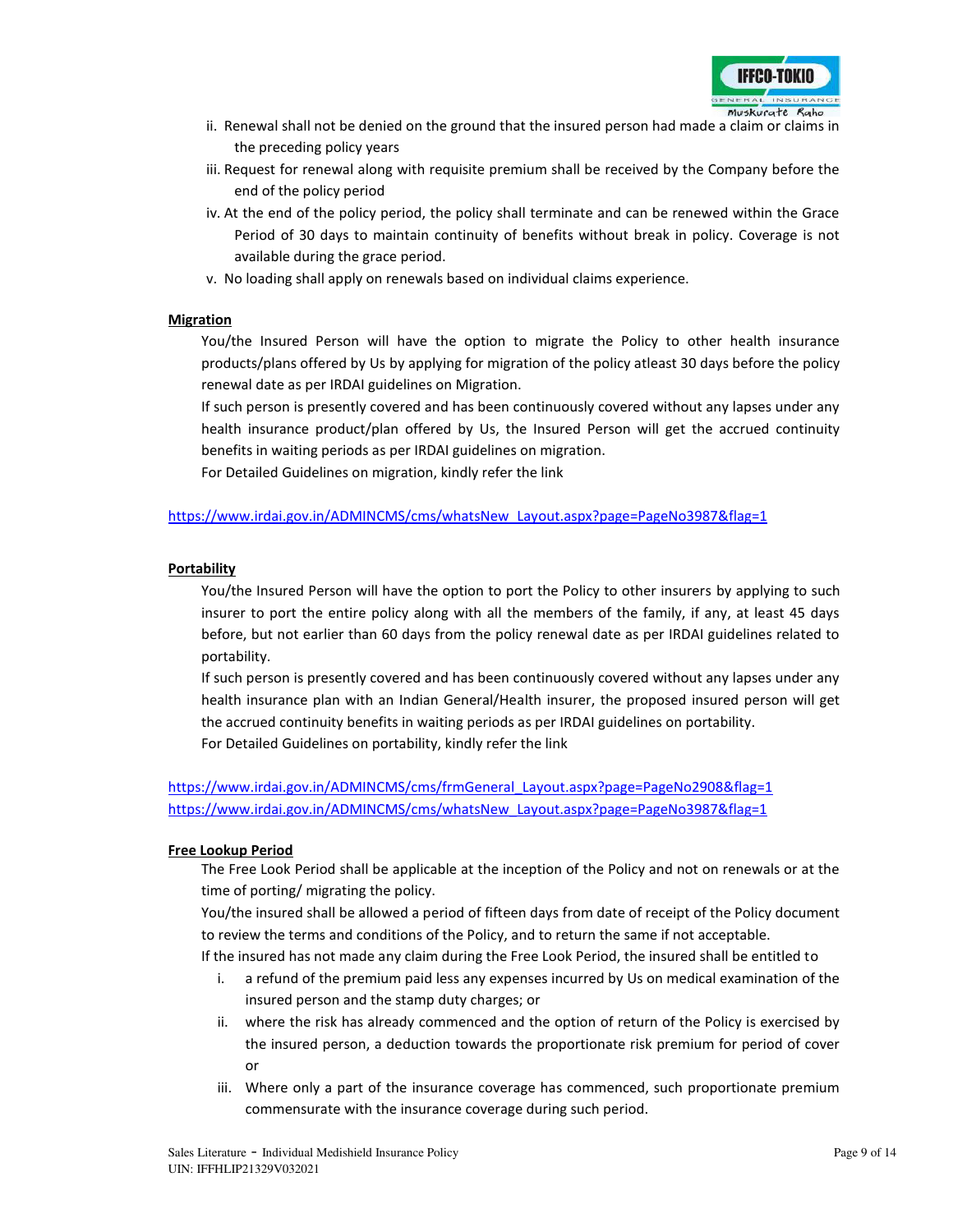

- ii. Renewal shall not be denied on the ground that the insured person had made a claim or claims in the preceding policy years
- iii. Request for renewal along with requisite premium shall be received by the Company before the end of the policy period
- iv. At the end of the policy period, the policy shall terminate and can be renewed within the Grace Period of 30 days to maintain continuity of benefits without break in policy. Coverage is not available during the grace period.
- v. No loading shall apply on renewals based on individual claims experience.

### **Migration**

You/the Insured Person will have the option to migrate the Policy to other health insurance products/plans offered by Us by applying for migration of the policy atleast 30 days before the policy renewal date as per IRDAI guidelines on Migration.

If such person is presently covered and has been continuously covered without any lapses under any health insurance product/plan offered by Us, the Insured Person will get the accrued continuity benefits in waiting periods as per IRDAI guidelines on migration.

For Detailed Guidelines on migration, kindly refer the link

## [https://www.irdai.gov.in/ADMINCMS/cms/whatsNew\\_Layout.aspx?page=PageNo3987&flag=1](https://www.irdai.gov.in/ADMINCMS/cms/whatsNew_Layout.aspx?page=PageNo3987&flag=1)

### **Portability**

You/the Insured Person will have the option to port the Policy to other insurers by applying to such insurer to port the entire policy along with all the members of the family, if any, at least 45 days before, but not earlier than 60 days from the policy renewal date as per IRDAI guidelines related to portability.

If such person is presently covered and has been continuously covered without any lapses under any health insurance plan with an Indian General/Health insurer, the proposed insured person will get the accrued continuity benefits in waiting periods as per IRDAI guidelines on portability. For Detailed Guidelines on portability, kindly refer the link

[https://www.irdai.gov.in/ADMINCMS/cms/frmGeneral\\_Layout.aspx?page=PageNo2908&flag=1](https://www.irdai.gov.in/ADMINCMS/cms/frmGeneral_Layout.aspx?page=PageNo2908&flag=1) [https://www.irdai.gov.in/ADMINCMS/cms/whatsNew\\_Layout.aspx?page=PageNo3987&flag=1](https://www.irdai.gov.in/ADMINCMS/cms/whatsNew_Layout.aspx?page=PageNo3987&flag=1)

### **Free Lookup Period**

The Free Look Period shall be applicable at the inception of the Policy and not on renewals or at the time of porting/ migrating the policy.

You/the insured shall be allowed a period of fifteen days from date of receipt of the Policy document to review the terms and conditions of the Policy, and to return the same if not acceptable.

If the insured has not made any claim during the Free Look Period, the insured shall be entitled to

- i. a refund of the premium paid less any expenses incurred by Us on medical examination of the insured person and the stamp duty charges; or
- ii. where the risk has already commenced and the option of return of the Policy is exercised by the insured person, a deduction towards the proportionate risk premium for period of cover or
- iii. Where only a part of the insurance coverage has commenced, such proportionate premium commensurate with the insurance coverage during such period.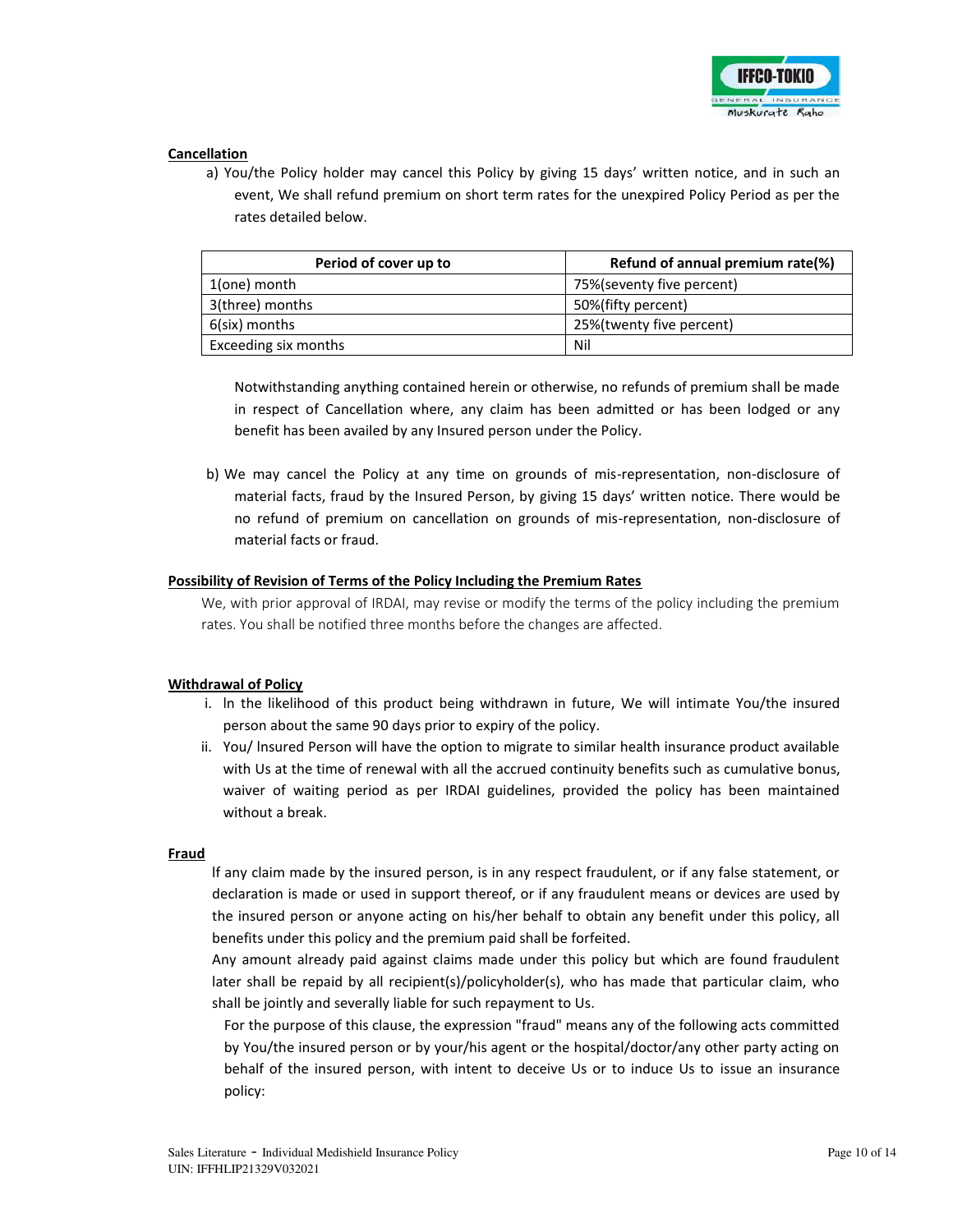

### **Cancellation**

a) You/the Policy holder may cancel this Policy by giving 15 days' written notice, and in such an event, We shall refund premium on short term rates for the unexpired Policy Period as per the rates detailed below.

| Period of cover up to | Refund of annual premium rate(%) |  |  |  |
|-----------------------|----------------------------------|--|--|--|
| 1(one) month          | 75% (seventy five percent)       |  |  |  |
| 3(three) months       | 50%(fifty percent)               |  |  |  |
| 6(six) months         | 25%(twenty five percent)         |  |  |  |
| Exceeding six months  | Nil                              |  |  |  |

Notwithstanding anything contained herein or otherwise, no refunds of premium shall be made in respect of Cancellation where, any claim has been admitted or has been lodged or any benefit has been availed by any Insured person under the Policy.

b) We may cancel the Policy at any time on grounds of mis-representation, non-disclosure of material facts, fraud by the Insured Person, by giving 15 days' written notice. There would be no refund of premium on cancellation on grounds of mis-representation, non-disclosure of material facts or fraud.

### **Possibility of Revision of Terms of the Policy Including the Premium Rates**

We, with prior approval of IRDAI, may revise or modify the terms of the policy including the premium rates. You shall be notified three months before the changes are affected.

### **Withdrawal of Policy**

- i. ln the likelihood of this product being withdrawn in future, We will intimate You/the insured person about the same 90 days prior to expiry of the policy.
- ii. You/ lnsured Person will have the option to migrate to similar health insurance product available with Us at the time of renewal with all the accrued continuity benefits such as cumulative bonus, waiver of waiting period as per IRDAI guidelines, provided the policy has been maintained without a break.

### **Fraud**

lf any claim made by the insured person, is in any respect fraudulent, or if any false statement, or declaration is made or used in support thereof, or if any fraudulent means or devices are used by the insured person or anyone acting on his/her behalf to obtain any benefit under this policy, all benefits under this policy and the premium paid shall be forfeited.

Any amount already paid against claims made under this policy but which are found fraudulent later shall be repaid by all recipient(s)/policyholder(s), who has made that particular claim, who shall be jointly and severally liable for such repayment to Us.

For the purpose of this clause, the expression "fraud" means any of the following acts committed by You/the insured person or by your/his agent or the hospital/doctor/any other party acting on behalf of the insured person, with intent to deceive Us or to induce Us to issue an insurance policy: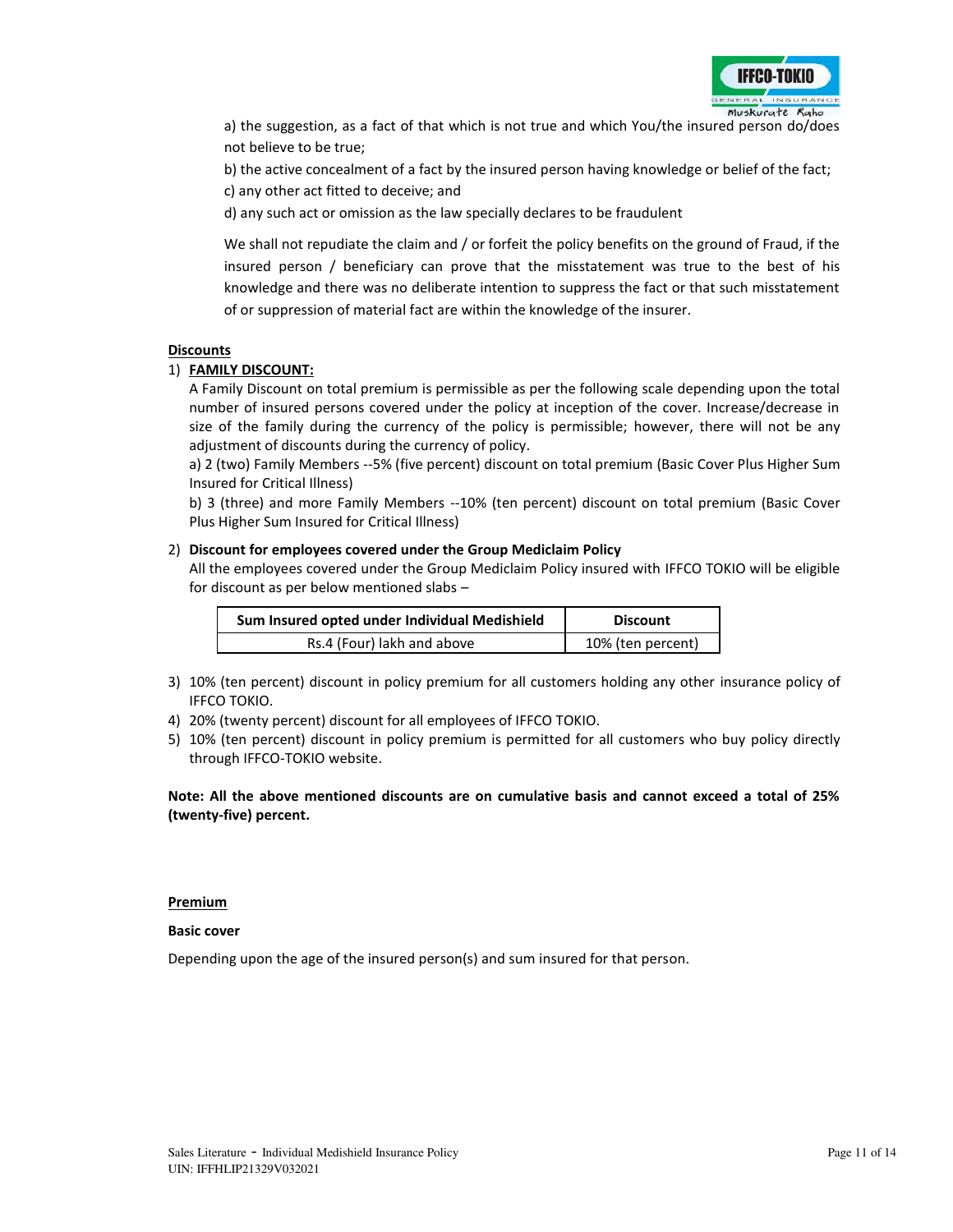

a) the suggestion, as a fact of that which is not true and which You/the insured person do/does not believe to be true;

b) the active concealment of a fact by the insured person having knowledge or belief of the fact;

c) any other act fitted to deceive; and

d) any such act or omission as the law specially declares to be fraudulent

We shall not repudiate the claim and / or forfeit the policy benefits on the ground of Fraud, if the insured person / beneficiary can prove that the misstatement was true to the best of his knowledge and there was no deliberate intention to suppress the fact or that such misstatement of or suppression of material fact are within the knowledge of the insurer.

### **Discounts**

### 1) **FAMILY DISCOUNT:**

A Family Discount on total premium is permissible as per the following scale depending upon the total number of insured persons covered under the policy at inception of the cover. Increase/decrease in size of the family during the currency of the policy is permissible; however, there will not be any adjustment of discounts during the currency of policy.

a) 2 (two) Family Members --5% (five percent) discount on total premium (Basic Cover Plus Higher Sum Insured for Critical Illness)

b) 3 (three) and more Family Members --10% (ten percent) discount on total premium (Basic Cover Plus Higher Sum Insured for Critical Illness)

### 2) **Discount for employees covered under the Group Mediclaim Policy**

 All the employees covered under the Group Mediclaim Policy insured with IFFCO TOKIO will be eligible for discount as per below mentioned slabs –

| Sum Insured opted under Individual Medishield | <b>Discount</b>   |  |  |  |
|-----------------------------------------------|-------------------|--|--|--|
| Rs.4 (Four) lakh and above                    | 10% (ten percent) |  |  |  |

- 3) 10% (ten percent) discount in policy premium for all customers holding any other insurance policy of IFFCO TOKIO.
- 4) 20% (twenty percent) discount for all employees of IFFCO TOKIO.
- 5) 10% (ten percent) discount in policy premium is permitted for all customers who buy policy directly through IFFCO-TOKIO website.

### **Note: All the above mentioned discounts are on cumulative basis and cannot exceed a total of 25% (twenty-five) percent.**

### **Premium**

### **Basic cover**

Depending upon the age of the insured person(s) and sum insured for that person.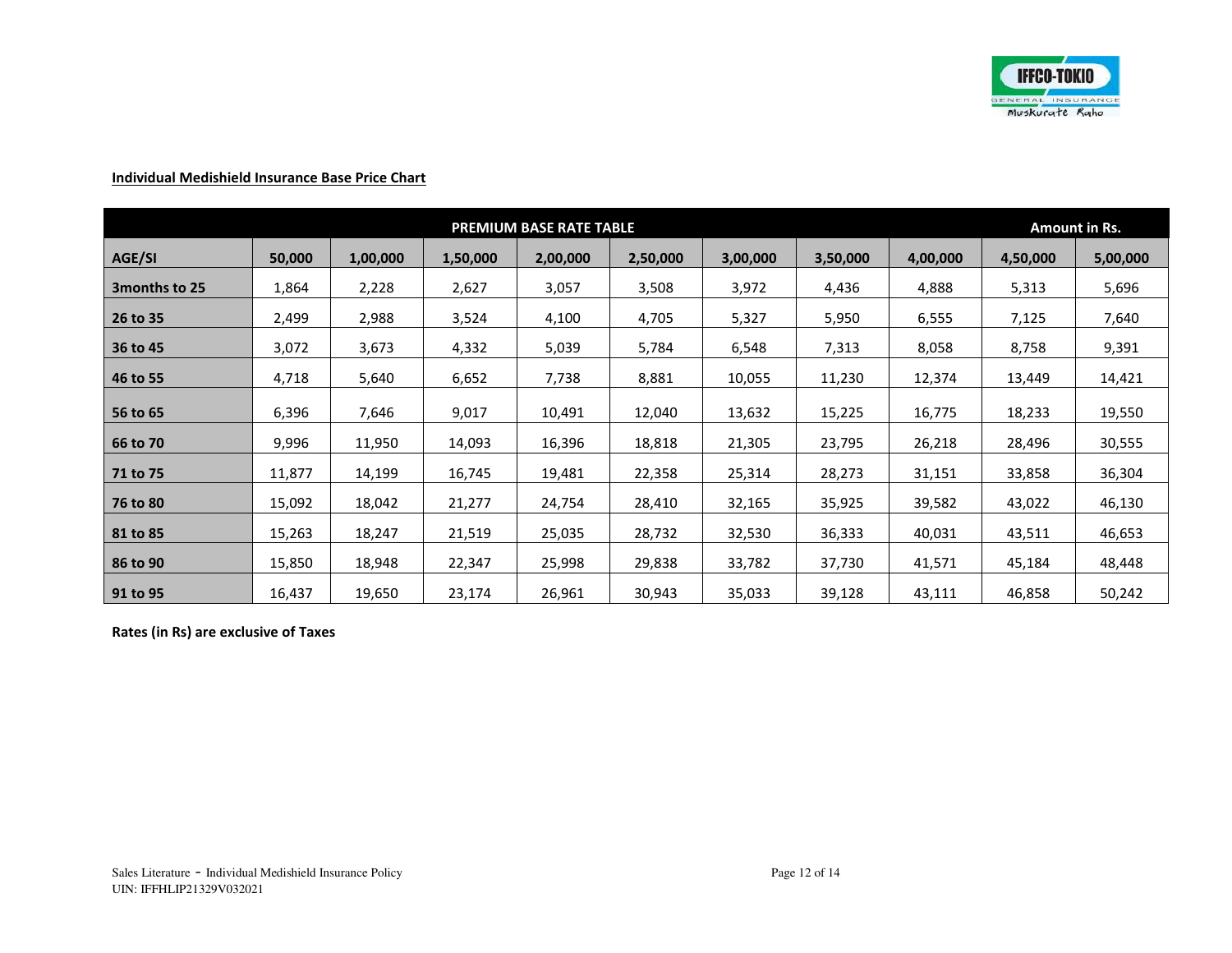

# **Individual Medishield Insurance Base Price Chart**

|                | <b>PREMIUM BASE RATE TABLE</b> |          |          |          |          |          |          |          | Amount in Rs. |          |
|----------------|--------------------------------|----------|----------|----------|----------|----------|----------|----------|---------------|----------|
| AGE/SI         | 50,000                         | 1,00,000 | 1,50,000 | 2,00,000 | 2,50,000 | 3,00,000 | 3,50,000 | 4,00,000 | 4,50,000      | 5,00,000 |
| 3 months to 25 | 1,864                          | 2,228    | 2,627    | 3,057    | 3,508    | 3,972    | 4,436    | 4,888    | 5,313         | 5,696    |
| 26 to 35       | 2,499                          | 2,988    | 3,524    | 4,100    | 4,705    | 5,327    | 5,950    | 6,555    | 7,125         | 7,640    |
| 36 to 45       | 3,072                          | 3,673    | 4,332    | 5,039    | 5,784    | 6,548    | 7,313    | 8,058    | 8,758         | 9,391    |
| 46 to 55       | 4,718                          | 5,640    | 6,652    | 7,738    | 8,881    | 10,055   | 11,230   | 12,374   | 13,449        | 14,421   |
| 56 to 65       | 6,396                          | 7,646    | 9,017    | 10,491   | 12,040   | 13,632   | 15,225   | 16,775   | 18,233        | 19,550   |
| 66 to 70       | 9,996                          | 11,950   | 14,093   | 16,396   | 18,818   | 21,305   | 23,795   | 26,218   | 28,496        | 30,555   |
| 71 to 75       | 11,877                         | 14,199   | 16,745   | 19,481   | 22,358   | 25,314   | 28,273   | 31,151   | 33,858        | 36,304   |
| 76 to 80       | 15,092                         | 18,042   | 21,277   | 24,754   | 28,410   | 32,165   | 35,925   | 39,582   | 43,022        | 46,130   |
| 81 to 85       | 15,263                         | 18,247   | 21,519   | 25,035   | 28,732   | 32,530   | 36,333   | 40,031   | 43,511        | 46,653   |
| 86 to 90       | 15,850                         | 18,948   | 22,347   | 25,998   | 29,838   | 33,782   | 37,730   | 41,571   | 45,184        | 48,448   |
| 91 to 95       | 16,437                         | 19,650   | 23,174   | 26,961   | 30,943   | 35,033   | 39,128   | 43,111   | 46,858        | 50,242   |

**Rates (in Rs) are exclusive of Taxes**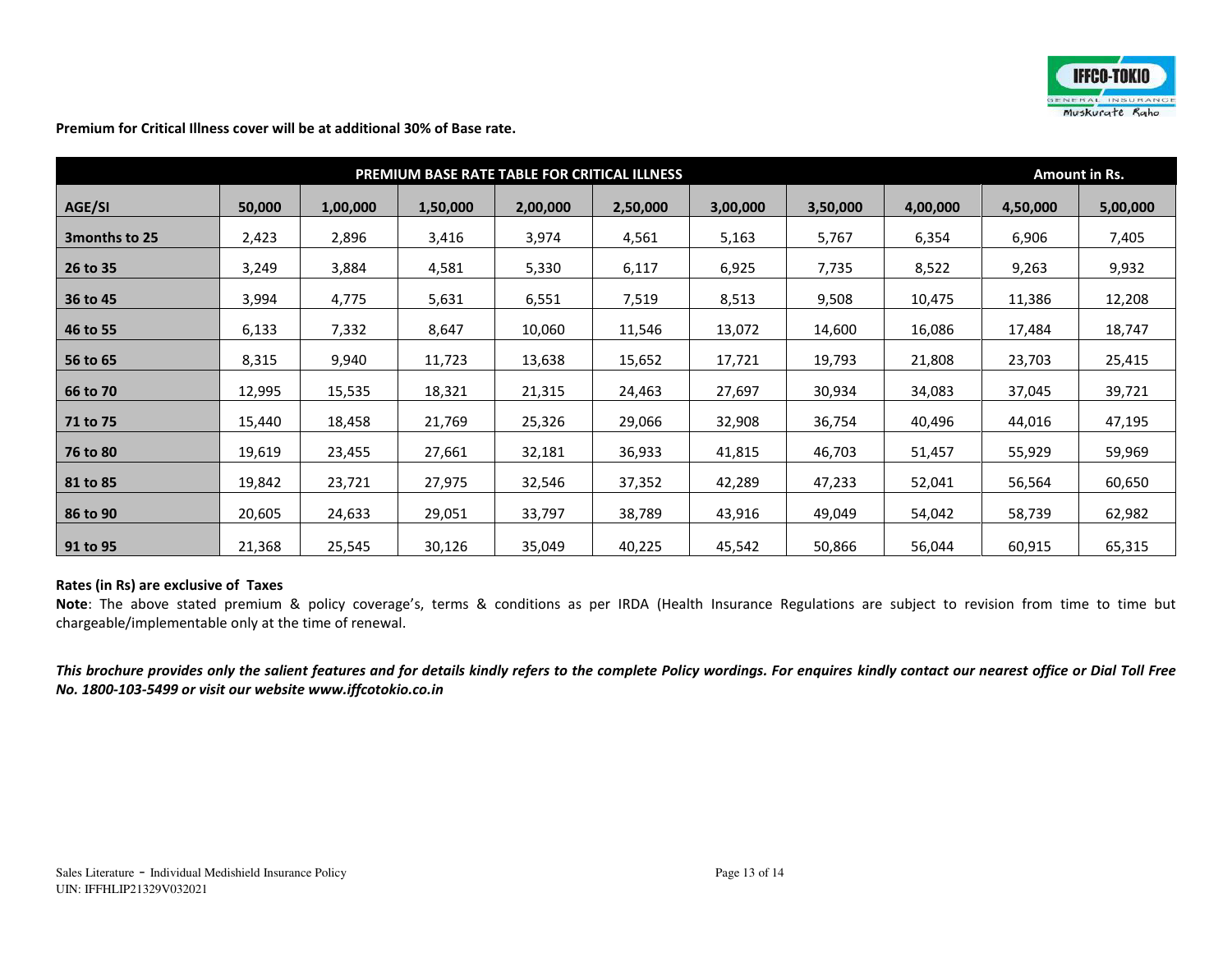

**Premium for Critical Illness cover will be at additional 30% of Base rate.** 

|                | PREMIUM BASE RATE TABLE FOR CRITICAL ILLNESS |          |          |          |          |          |          |          |          | Amount in Rs. |  |
|----------------|----------------------------------------------|----------|----------|----------|----------|----------|----------|----------|----------|---------------|--|
| AGE/SI         | 50,000                                       | 1,00,000 | 1,50,000 | 2,00,000 | 2,50,000 | 3,00,000 | 3,50,000 | 4,00,000 | 4,50,000 | 5,00,000      |  |
| 3 months to 25 | 2,423                                        | 2,896    | 3,416    | 3,974    | 4,561    | 5,163    | 5,767    | 6,354    | 6,906    | 7,405         |  |
| 26 to 35       | 3,249                                        | 3,884    | 4,581    | 5,330    | 6,117    | 6,925    | 7,735    | 8,522    | 9,263    | 9,932         |  |
| 36 to 45       | 3,994                                        | 4,775    | 5,631    | 6,551    | 7,519    | 8,513    | 9,508    | 10,475   | 11,386   | 12,208        |  |
| 46 to 55       | 6,133                                        | 7,332    | 8,647    | 10,060   | 11,546   | 13,072   | 14,600   | 16,086   | 17,484   | 18,747        |  |
| 56 to 65       | 8,315                                        | 9,940    | 11,723   | 13,638   | 15,652   | 17,721   | 19,793   | 21,808   | 23,703   | 25,415        |  |
| 66 to 70       | 12,995                                       | 15,535   | 18,321   | 21,315   | 24,463   | 27,697   | 30,934   | 34,083   | 37,045   | 39,721        |  |
| 71 to 75       | 15,440                                       | 18,458   | 21,769   | 25,326   | 29,066   | 32,908   | 36,754   | 40,496   | 44,016   | 47,195        |  |
| 76 to 80       | 19,619                                       | 23,455   | 27,661   | 32,181   | 36,933   | 41,815   | 46,703   | 51,457   | 55,929   | 59,969        |  |
| 81 to 85       | 19,842                                       | 23,721   | 27,975   | 32,546   | 37,352   | 42,289   | 47,233   | 52,041   | 56,564   | 60,650        |  |
| 86 to 90       | 20,605                                       | 24,633   | 29,051   | 33,797   | 38,789   | 43,916   | 49,049   | 54,042   | 58,739   | 62,982        |  |
| 91 to 95       | 21,368                                       | 25,545   | 30,126   | 35,049   | 40,225   | 45,542   | 50,866   | 56,044   | 60,915   | 65,315        |  |

### **Rates (in Rs) are exclusive of Taxes**

**Note**: The above stated premium & policy coverage's, terms & conditions as per IRDA (Health Insurance Regulations are subject to revision from time to time but chargeable/implementable only at the time of renewal.

*This brochure provides only the salient features and for details kindly refers to the complete Policy wordings. For enquires kindly contact our nearest office or Dial Toll Free No. 1800-103-5499 or visit our website www.iffcotokio.co.in*